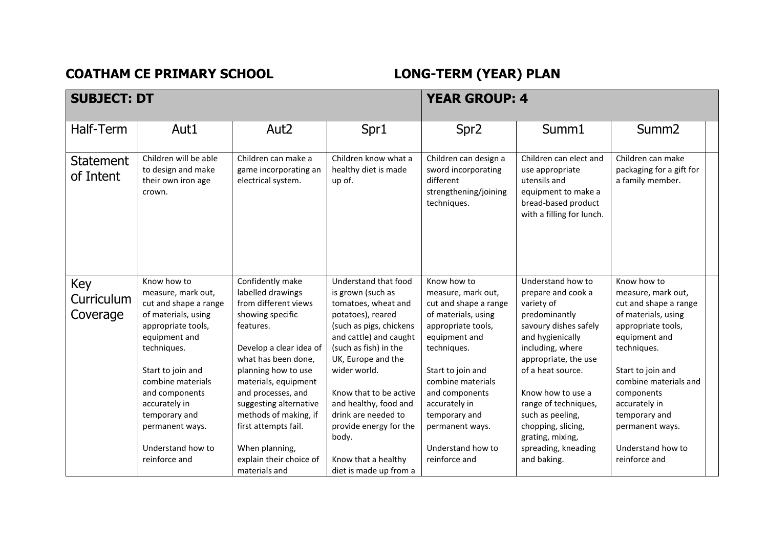**COATHAM CE PRIMARY SCHOOL LONG-TERM (YEAR) PLAN** 

| <b>SUBJECT: DT</b>            |                                                                             |                                                                    | <b>YEAR GROUP: 4</b>                                   |                                                                                                   |                                                                                                                                      |                                                                   |  |
|-------------------------------|-----------------------------------------------------------------------------|--------------------------------------------------------------------|--------------------------------------------------------|---------------------------------------------------------------------------------------------------|--------------------------------------------------------------------------------------------------------------------------------------|-------------------------------------------------------------------|--|
| Half-Term                     | Aut1                                                                        | Aut <sub>2</sub>                                                   | Spr1                                                   | Spr <sub>2</sub>                                                                                  | Summ1                                                                                                                                | Summ <sub>2</sub>                                                 |  |
| <b>Statement</b><br>of Intent | Children will be able<br>to design and make<br>their own iron age<br>crown. | Children can make a<br>game incorporating an<br>electrical system. | Children know what a<br>healthy diet is made<br>up of. | Children can design a<br>sword incorporating<br>different<br>strengthening/joining<br>techniques. | Children can elect and<br>use appropriate<br>utensils and<br>equipment to make a<br>bread-based product<br>with a filling for lunch. | Children can make<br>packaging for a gift for<br>a family member. |  |
| Key                           | Know how to                                                                 | Confidently make                                                   | Understand that food                                   | Know how to                                                                                       | Understand how to                                                                                                                    | Know how to                                                       |  |
| Curriculum                    | measure, mark out,                                                          | labelled drawings                                                  | is grown (such as                                      | measure, mark out,                                                                                | prepare and cook a                                                                                                                   | measure, mark out,                                                |  |
|                               | cut and shape a range                                                       | from different views                                               | tomatoes, wheat and                                    | cut and shape a range                                                                             | variety of                                                                                                                           | cut and shape a range                                             |  |
| Coverage                      | of materials, using                                                         | showing specific                                                   | potatoes), reared                                      | of materials, using                                                                               | predominantly                                                                                                                        | of materials, using                                               |  |
|                               | appropriate tools,                                                          | features.                                                          | (such as pigs, chickens                                | appropriate tools,                                                                                | savoury dishes safely                                                                                                                | appropriate tools,                                                |  |
|                               | equipment and<br>techniques.                                                | Develop a clear idea of                                            | and cattle) and caught<br>(such as fish) in the        | equipment and<br>techniques.                                                                      | and hygienically<br>including, where                                                                                                 | equipment and<br>techniques.                                      |  |
|                               |                                                                             | what has been done,                                                | UK, Europe and the                                     |                                                                                                   | appropriate, the use                                                                                                                 |                                                                   |  |
|                               | Start to join and                                                           | planning how to use                                                | wider world.                                           | Start to join and                                                                                 | of a heat source.                                                                                                                    | Start to join and                                                 |  |
|                               | combine materials                                                           | materials, equipment                                               |                                                        | combine materials                                                                                 |                                                                                                                                      | combine materials and                                             |  |
|                               | and components                                                              | and processes, and                                                 | Know that to be active                                 | and components                                                                                    | Know how to use a                                                                                                                    | components                                                        |  |
|                               | accurately in                                                               | suggesting alternative                                             | and healthy, food and                                  | accurately in                                                                                     | range of techniques,                                                                                                                 | accurately in                                                     |  |
|                               | temporary and                                                               | methods of making, if                                              | drink are needed to                                    | temporary and                                                                                     | such as peeling,                                                                                                                     | temporary and                                                     |  |
|                               | permanent ways.                                                             | first attempts fail.                                               | provide energy for the                                 | permanent ways.                                                                                   | chopping, slicing,                                                                                                                   | permanent ways.                                                   |  |
|                               |                                                                             |                                                                    | body.                                                  |                                                                                                   | grating, mixing,                                                                                                                     |                                                                   |  |
|                               | Understand how to                                                           | When planning,                                                     |                                                        | Understand how to                                                                                 | spreading, kneading                                                                                                                  | Understand how to                                                 |  |
|                               | reinforce and                                                               | explain their choice of                                            | Know that a healthy                                    | reinforce and                                                                                     | and baking.                                                                                                                          | reinforce and                                                     |  |
|                               |                                                                             | materials and                                                      | diet is made up from a                                 |                                                                                                   |                                                                                                                                      |                                                                   |  |